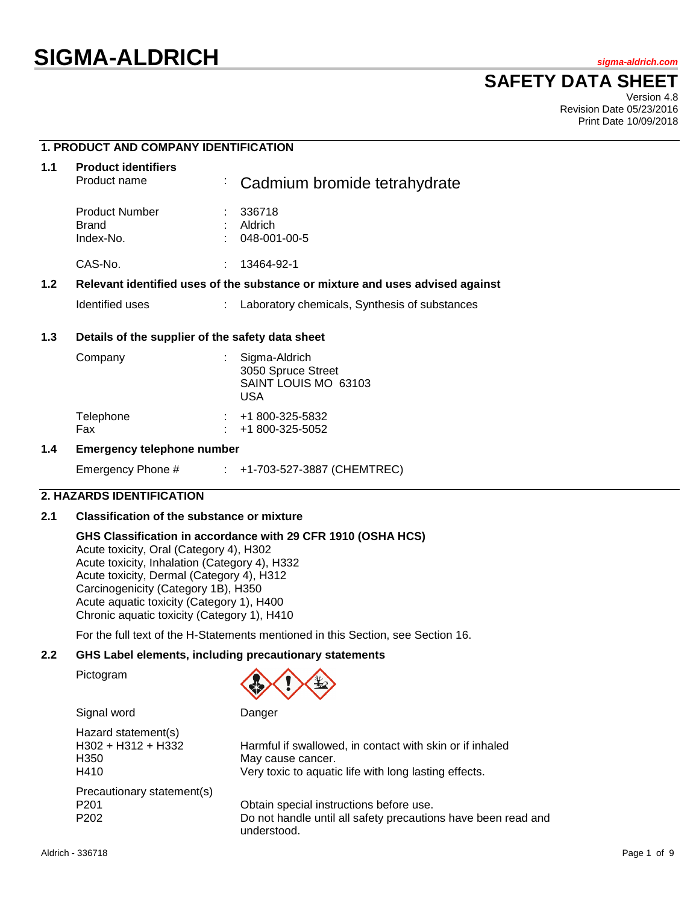# **SIGMA-ALDRICH** *sigma-aldrich.com*

# **SAFETY DATA SHEET**

Version 4.8 Revision Date 05/23/2016 Print Date 10/09/2018

# **1. PRODUCT AND COMPANY IDENTIFICATION**

| 1.1 | <b>Product identifiers</b><br>Product name       |    | : Cadmium bromide tetrahydrate                                                |
|-----|--------------------------------------------------|----|-------------------------------------------------------------------------------|
|     | <b>Product Number</b>                            |    | 336718                                                                        |
|     | Brand                                            |    | Aldrich                                                                       |
|     | Index-No.                                        |    | 048-001-00-5                                                                  |
|     | CAS-No.                                          | ٠  | 13464-92-1                                                                    |
| 1.2 |                                                  |    | Relevant identified uses of the substance or mixture and uses advised against |
|     | Identified uses                                  | t. | Laboratory chemicals, Synthesis of substances                                 |
|     | Detaile of the cupplier of the cofety data choot |    |                                                                               |

#### **1.3 Details of the supplier of the safety data sheet**

| Company          | : Sigma-Aldrich<br>3050 Spruce Street<br>SAINT LOUIS MO 63103<br>USA |
|------------------|----------------------------------------------------------------------|
| Telephone<br>Fax | $\div$ +1 800-325-5832<br>+1 800-325-5052                            |

#### **1.4 Emergency telephone number**

Emergency Phone # : +1-703-527-3887 (CHEMTREC)

#### **2. HAZARDS IDENTIFICATION**

#### **2.1 Classification of the substance or mixture**

#### **GHS Classification in accordance with 29 CFR 1910 (OSHA HCS)**

Acute toxicity, Oral (Category 4), H302 Acute toxicity, Inhalation (Category 4), H332 Acute toxicity, Dermal (Category 4), H312 Carcinogenicity (Category 1B), H350 Acute aquatic toxicity (Category 1), H400 Chronic aquatic toxicity (Category 1), H410

For the full text of the H-Statements mentioned in this Section, see Section 16.

# **2.2 GHS Label elements, including precautionary statements**

Pictogram



Signal word Danger

| Hazard statement(s)<br>$H302 + H312 + H332$<br>H <sub>350</sub><br>H410 | Harmful if swallowed, in contact with skin or if inhaled<br>May cause cancer.<br>Very toxic to aquatic life with long lasting effects. |
|-------------------------------------------------------------------------|----------------------------------------------------------------------------------------------------------------------------------------|
| Precautionary statement(s)                                              | Obtain special instructions before use.                                                                                                |
| P <sub>201</sub>                                                        | Do not handle until all safety precautions have been read and                                                                          |
| P <sub>202</sub>                                                        | understood.                                                                                                                            |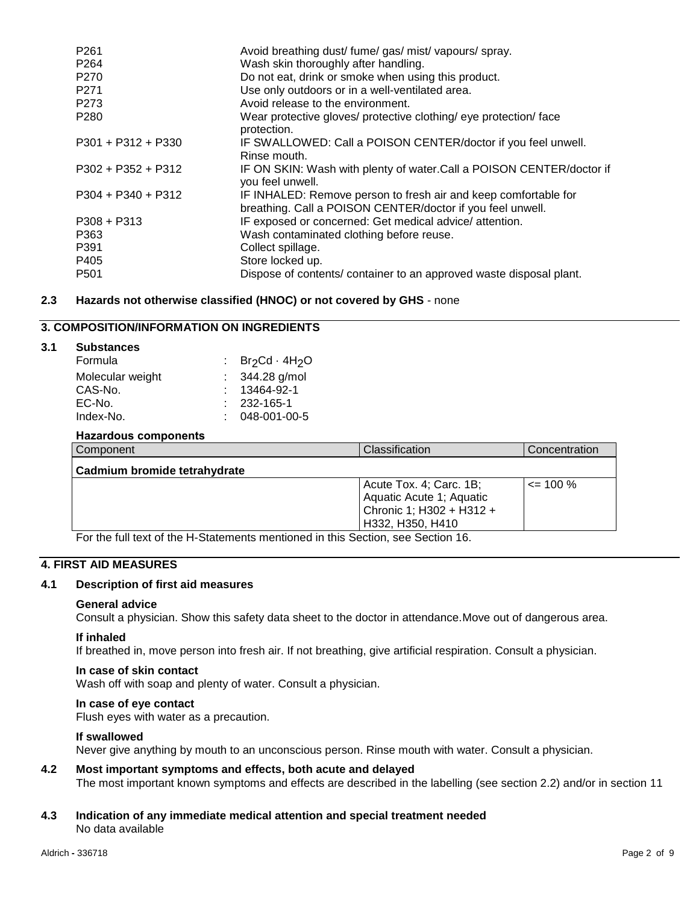| P <sub>261</sub>     | Avoid breathing dust/ fume/ gas/ mist/ vapours/ spray.                                                                        |
|----------------------|-------------------------------------------------------------------------------------------------------------------------------|
| P264                 | Wash skin thoroughly after handling.                                                                                          |
| P <sub>270</sub>     | Do not eat, drink or smoke when using this product.                                                                           |
| P <sub>271</sub>     | Use only outdoors or in a well-ventilated area.                                                                               |
| P273                 | Avoid release to the environment.                                                                                             |
| P <sub>280</sub>     | Wear protective gloves/ protective clothing/ eye protection/ face<br>protection.                                              |
| $P301 + P312 + P330$ | IF SWALLOWED: Call a POISON CENTER/doctor if you feel unwell.<br>Rinse mouth.                                                 |
| $P302 + P352 + P312$ | IF ON SKIN: Wash with plenty of water.Call a POISON CENTER/doctor if<br>you feel unwell.                                      |
| $P304 + P340 + P312$ | IF INHALED: Remove person to fresh air and keep comfortable for<br>breathing. Call a POISON CENTER/doctor if you feel unwell. |
| $P308 + P313$        | IF exposed or concerned: Get medical advice/attention.                                                                        |
| P363                 | Wash contaminated clothing before reuse.                                                                                      |
| P391                 | Collect spillage.                                                                                                             |
| P405                 | Store locked up.                                                                                                              |
| P <sub>501</sub>     | Dispose of contents/ container to an approved waste disposal plant.                                                           |
|                      |                                                                                                                               |

# **2.3 Hazards not otherwise classified (HNOC) or not covered by GHS** - none

#### **3. COMPOSITION/INFORMATION ON INGREDIENTS**

#### **3.1 Substances**

| Formula          | : $Br_2Cd \cdot 4H_2O$ |  |
|------------------|------------------------|--|
| Molecular weight | : $344.28$ g/mol       |  |
| CAS-No.          | $: 13464 - 92 - 1$     |  |
| EC-No.           | $: 232 - 165 - 1$      |  |
| Index-No.        | 048-001-00-5           |  |
|                  |                        |  |

#### **Hazardous components**

| Component                    | Classification                                                                                      | Concentration |
|------------------------------|-----------------------------------------------------------------------------------------------------|---------------|
| Cadmium bromide tetrahydrate |                                                                                                     |               |
|                              | Acute Tox. 4; Carc. 1B;<br>Aquatic Acute 1; Aquatic<br>Chronic 1; H302 + H312 +<br>H332, H350, H410 | $\leq$ 100 %  |

For the full text of the H-Statements mentioned in this Section, see Section 16.

## **4. FIRST AID MEASURES**

#### **4.1 Description of first aid measures**

#### **General advice**

Consult a physician. Show this safety data sheet to the doctor in attendance.Move out of dangerous area.

#### **If inhaled**

If breathed in, move person into fresh air. If not breathing, give artificial respiration. Consult a physician.

#### **In case of skin contact**

Wash off with soap and plenty of water. Consult a physician.

#### **In case of eye contact**

Flush eyes with water as a precaution.

#### **If swallowed**

Never give anything by mouth to an unconscious person. Rinse mouth with water. Consult a physician.

#### **4.2 Most important symptoms and effects, both acute and delayed** The most important known symptoms and effects are described in the labelling (see section 2.2) and/or in section 11

#### **4.3 Indication of any immediate medical attention and special treatment needed** No data available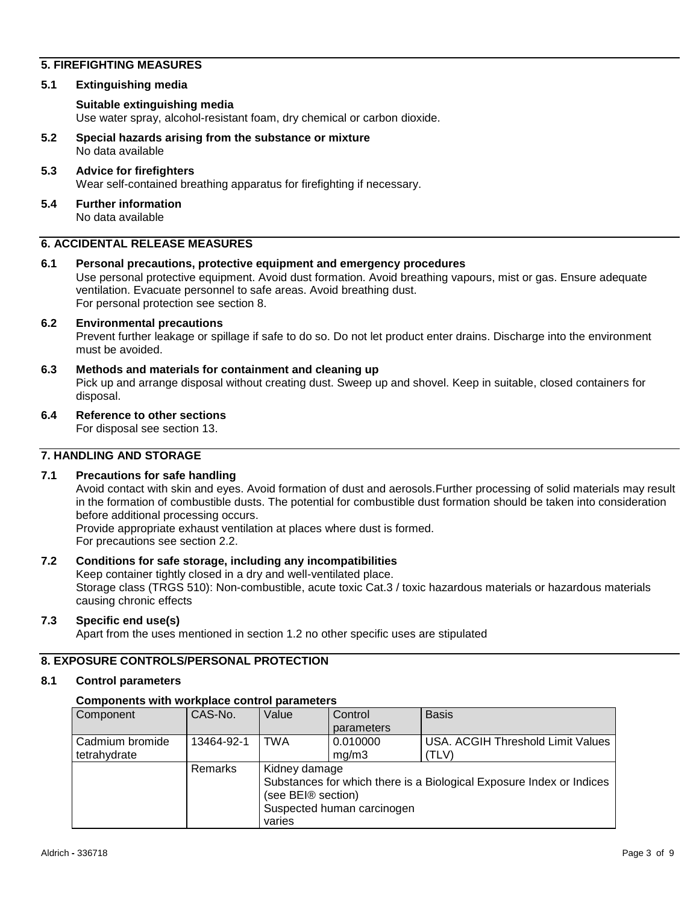# **5. FIREFIGHTING MEASURES**

#### **5.1 Extinguishing media**

#### **Suitable extinguishing media**

Use water spray, alcohol-resistant foam, dry chemical or carbon dioxide.

**5.2 Special hazards arising from the substance or mixture** No data available

# **5.3 Advice for firefighters** Wear self-contained breathing apparatus for firefighting if necessary.

**5.4 Further information** No data available

# **6. ACCIDENTAL RELEASE MEASURES**

**6.1 Personal precautions, protective equipment and emergency procedures** Use personal protective equipment. Avoid dust formation. Avoid breathing vapours, mist or gas. Ensure adequate ventilation. Evacuate personnel to safe areas. Avoid breathing dust. For personal protection see section 8.

#### **6.2 Environmental precautions**

Prevent further leakage or spillage if safe to do so. Do not let product enter drains. Discharge into the environment must be avoided.

#### **6.3 Methods and materials for containment and cleaning up**

Pick up and arrange disposal without creating dust. Sweep up and shovel. Keep in suitable, closed containers for disposal.

# **6.4 Reference to other sections**

For disposal see section 13.

# **7. HANDLING AND STORAGE**

# **7.1 Precautions for safe handling**

Avoid contact with skin and eyes. Avoid formation of dust and aerosols.Further processing of solid materials may result in the formation of combustible dusts. The potential for combustible dust formation should be taken into consideration before additional processing occurs.

Provide appropriate exhaust ventilation at places where dust is formed. For precautions see section 2.2.

#### **7.2 Conditions for safe storage, including any incompatibilities**

Keep container tightly closed in a dry and well-ventilated place.

Storage class (TRGS 510): Non-combustible, acute toxic Cat.3 / toxic hazardous materials or hazardous materials causing chronic effects

#### **7.3 Specific end use(s)**

Apart from the uses mentioned in section 1.2 no other specific uses are stipulated

# **8. EXPOSURE CONTROLS/PERSONAL PROTECTION**

#### **8.1 Control parameters**

#### **Components with workplace control parameters**

| Component       | CAS-No.        | Value                                                                | Control    | <b>Basis</b>                      |
|-----------------|----------------|----------------------------------------------------------------------|------------|-----------------------------------|
|                 |                |                                                                      | parameters |                                   |
| Cadmium bromide | 13464-92-1     | TWA                                                                  | 0.010000   | USA. ACGIH Threshold Limit Values |
| tetrahydrate    |                |                                                                      | mg/m3      | (TLV)                             |
|                 | <b>Remarks</b> | Kidney damage                                                        |            |                                   |
|                 |                | Substances for which there is a Biological Exposure Index or Indices |            |                                   |
|                 |                | (see BEI® section)                                                   |            |                                   |
|                 |                | Suspected human carcinogen                                           |            |                                   |
|                 |                | varies                                                               |            |                                   |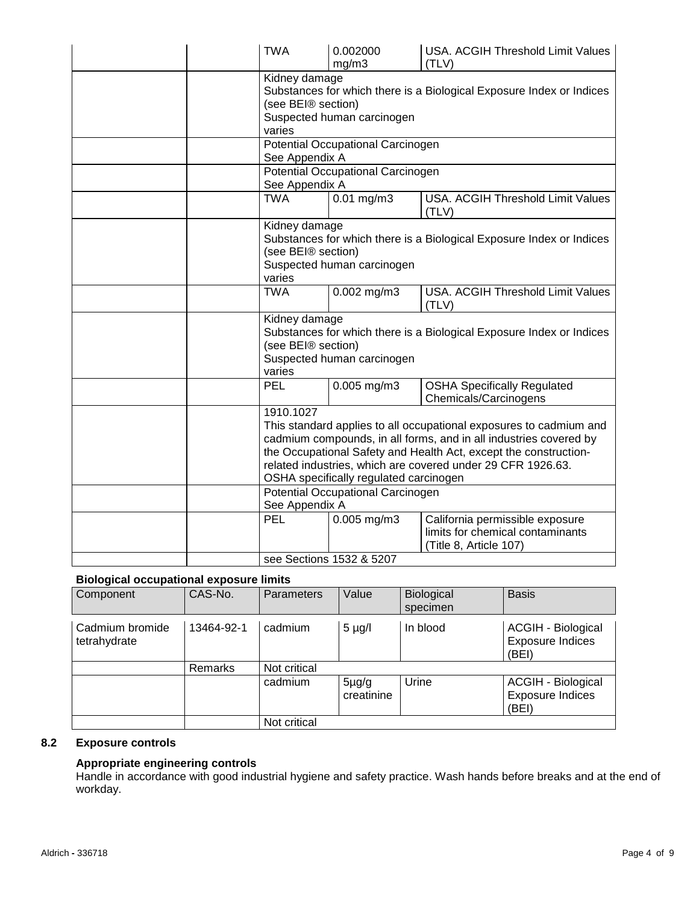| <b>TWA</b>                                                                                                                      | 0.002000<br>mg/m3                      | <b>USA. ACGIH Threshold Limit Values</b><br>(TLV)                    |  |  |
|---------------------------------------------------------------------------------------------------------------------------------|----------------------------------------|----------------------------------------------------------------------|--|--|
| Kidney damage                                                                                                                   |                                        |                                                                      |  |  |
| Substances for which there is a Biological Exposure Index or Indices                                                            |                                        |                                                                      |  |  |
| (see BEI® section)                                                                                                              |                                        |                                                                      |  |  |
| Suspected human carcinogen                                                                                                      |                                        |                                                                      |  |  |
| varies                                                                                                                          |                                        |                                                                      |  |  |
| Potential Occupational Carcinogen                                                                                               |                                        |                                                                      |  |  |
|                                                                                                                                 | See Appendix A                         |                                                                      |  |  |
| Potential Occupational Carcinogen<br>See Appendix A                                                                             |                                        |                                                                      |  |  |
| <b>TWA</b>                                                                                                                      | $0.01$ mg/m3                           | USA. ACGIH Threshold Limit Values                                    |  |  |
|                                                                                                                                 |                                        | (TLV)                                                                |  |  |
| Kidney damage                                                                                                                   |                                        |                                                                      |  |  |
|                                                                                                                                 |                                        | Substances for which there is a Biological Exposure Index or Indices |  |  |
| (see BEI® section)                                                                                                              | Suspected human carcinogen             |                                                                      |  |  |
| varies                                                                                                                          |                                        |                                                                      |  |  |
| <b>TWA</b>                                                                                                                      | $0.002$ mg/m3                          | <b>USA. ACGIH Threshold Limit Values</b>                             |  |  |
|                                                                                                                                 |                                        | (TLV)                                                                |  |  |
| Kidney damage                                                                                                                   |                                        |                                                                      |  |  |
| (see BEI® section)                                                                                                              |                                        | Substances for which there is a Biological Exposure Index or Indices |  |  |
|                                                                                                                                 | Suspected human carcinogen             |                                                                      |  |  |
| varies                                                                                                                          |                                        |                                                                      |  |  |
| <b>PEL</b>                                                                                                                      | $0.005$ mg/m $3$                       | <b>OSHA Specifically Regulated</b>                                   |  |  |
|                                                                                                                                 |                                        | Chemicals/Carcinogens                                                |  |  |
| 1910.1027                                                                                                                       |                                        |                                                                      |  |  |
|                                                                                                                                 |                                        | This standard applies to all occupational exposures to cadmium and   |  |  |
|                                                                                                                                 |                                        | cadmium compounds, in all forms, and in all industries covered by    |  |  |
| the Occupational Safety and Health Act, except the construction-<br>related industries, which are covered under 29 CFR 1926.63. |                                        |                                                                      |  |  |
|                                                                                                                                 | OSHA specifically regulated carcinogen |                                                                      |  |  |
|                                                                                                                                 |                                        |                                                                      |  |  |
| Potential Occupational Carcinogen<br>See Appendix A                                                                             |                                        |                                                                      |  |  |
| <b>PEL</b>                                                                                                                      | $0.005$ mg/m $3$                       | California permissible exposure                                      |  |  |
|                                                                                                                                 |                                        | limits for chemical contaminants                                     |  |  |
|                                                                                                                                 |                                        | (Title 8, Article 107)                                               |  |  |
| see Sections 1532 & 5207                                                                                                        |                                        |                                                                      |  |  |

# **Biological occupational exposure limits**

| Component                       | CAS-No.    | Parameters   | Value                    | Biological<br>specimen | <b>Basis</b>                                                  |
|---------------------------------|------------|--------------|--------------------------|------------------------|---------------------------------------------------------------|
| Cadmium bromide<br>tetrahydrate | 13464-92-1 | cadmium      | $5 \mu g/l$              | In blood               | <b>ACGIH - Biological</b><br><b>Exposure Indices</b><br>(BEI) |
|                                 | Remarks    | Not critical |                          |                        |                                                               |
|                                 |            | cadmium      | $5\mu$ g/g<br>creatinine | Urine                  | <b>ACGIH - Biological</b><br><b>Exposure Indices</b><br>(BEI) |
|                                 |            | Not critical |                          |                        |                                                               |

# **8.2 Exposure controls**

#### **Appropriate engineering controls**

Handle in accordance with good industrial hygiene and safety practice. Wash hands before breaks and at the end of workday.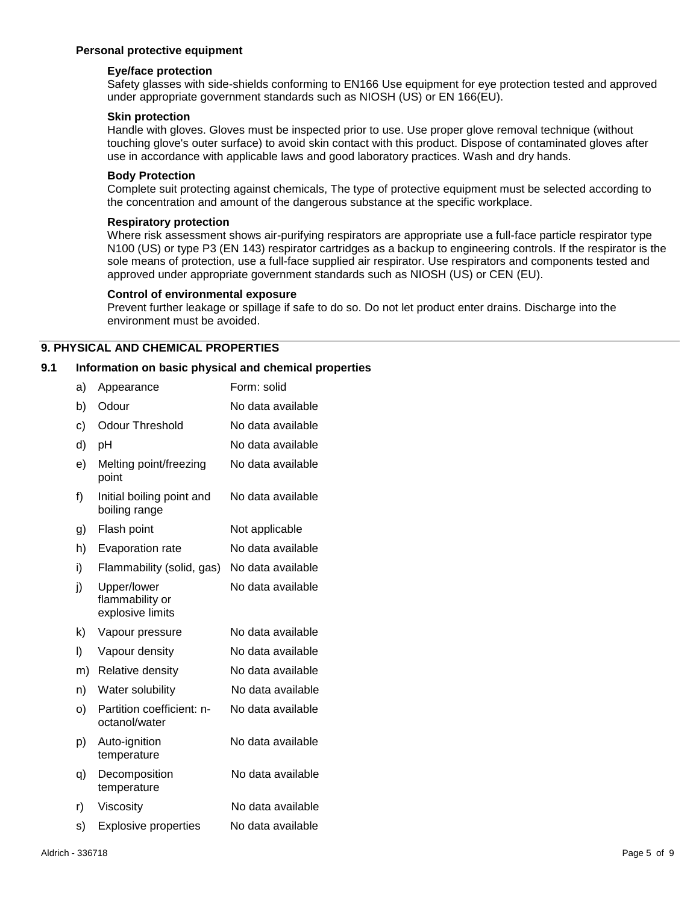#### **Personal protective equipment**

#### **Eye/face protection**

Safety glasses with side-shields conforming to EN166 Use equipment for eye protection tested and approved under appropriate government standards such as NIOSH (US) or EN 166(EU).

#### **Skin protection**

Handle with gloves. Gloves must be inspected prior to use. Use proper glove removal technique (without touching glove's outer surface) to avoid skin contact with this product. Dispose of contaminated gloves after use in accordance with applicable laws and good laboratory practices. Wash and dry hands.

#### **Body Protection**

Complete suit protecting against chemicals, The type of protective equipment must be selected according to the concentration and amount of the dangerous substance at the specific workplace.

#### **Respiratory protection**

Where risk assessment shows air-purifying respirators are appropriate use a full-face particle respirator type N100 (US) or type P3 (EN 143) respirator cartridges as a backup to engineering controls. If the respirator is the sole means of protection, use a full-face supplied air respirator. Use respirators and components tested and approved under appropriate government standards such as NIOSH (US) or CEN (EU).

#### **Control of environmental exposure**

Prevent further leakage or spillage if safe to do so. Do not let product enter drains. Discharge into the environment must be avoided.

# **9. PHYSICAL AND CHEMICAL PROPERTIES**

#### **9.1 Information on basic physical and chemical properties**

| a) | Appearance                                         | Form: solid       |
|----|----------------------------------------------------|-------------------|
| b) | Odour                                              | No data available |
| c) | <b>Odour Threshold</b>                             | No data available |
| d) | рH                                                 | No data available |
| e) | Melting point/freezing<br>point                    | No data available |
| f) | Initial boiling point and<br>boiling range         | No data available |
| g) | Flash point                                        | Not applicable    |
| h) | Evaporation rate                                   | No data available |
| i) | Flammability (solid, gas)                          | No data available |
| j) | Upper/lower<br>flammability or<br>explosive limits | No data available |
| k) | Vapour pressure                                    | No data available |
| I) | Vapour density                                     | No data available |
| m) | Relative density                                   | No data available |
| n) | Water solubility                                   | No data available |
| o) | Partition coefficient: n-<br>octanol/water         | No data available |
| p) | Auto-ignition<br>temperature                       | No data available |
| q) | Decomposition<br>temperature                       | No data available |
| r) | Viscosity                                          | No data available |
| s) | <b>Explosive properties</b>                        | No data available |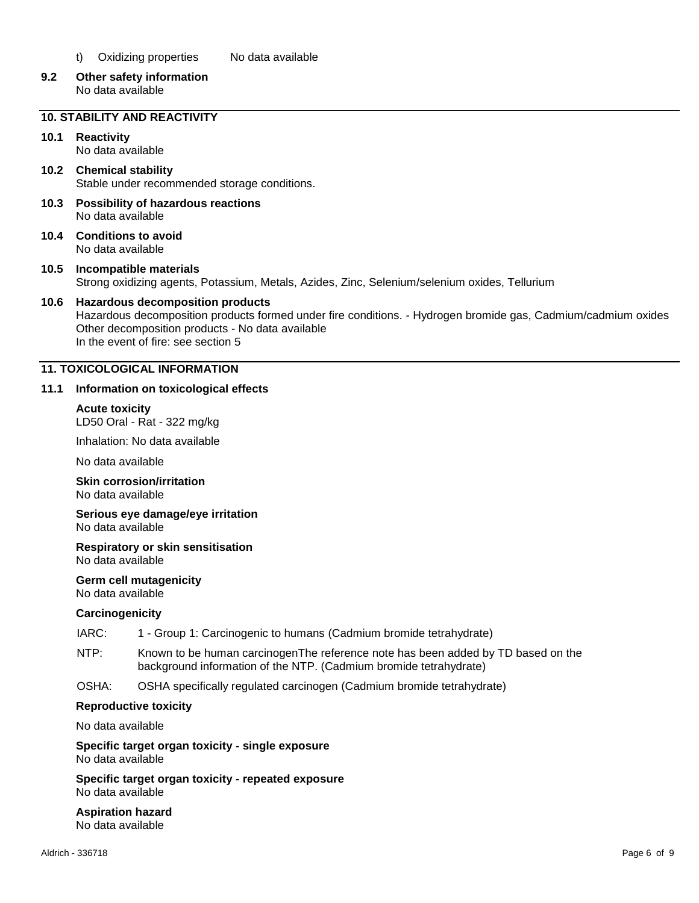#### t) Oxidizing properties No data available

#### **9.2 Other safety information** No data available

# **10. STABILITY AND REACTIVITY**

# **10.1 Reactivity**

No data available

#### **10.2 Chemical stability** Stable under recommended storage conditions.

- **10.3 Possibility of hazardous reactions** No data available
- **10.4 Conditions to avoid** No data available

#### **10.5 Incompatible materials** Strong oxidizing agents, Potassium, Metals, Azides, Zinc, Selenium/selenium oxides, Tellurium

# **10.6 Hazardous decomposition products**

Hazardous decomposition products formed under fire conditions. - Hydrogen bromide gas, Cadmium/cadmium oxides Other decomposition products - No data available In the event of fire: see section 5

#### **11. TOXICOLOGICAL INFORMATION**

#### **11.1 Information on toxicological effects**

#### **Acute toxicity**

LD50 Oral - Rat - 322 mg/kg

Inhalation: No data available

No data available

#### **Skin corrosion/irritation**

No data available

#### **Serious eye damage/eye irritation** No data available

#### **Respiratory or skin sensitisation** No data available

#### **Germ cell mutagenicity**

No data available

#### **Carcinogenicity**

- IARC: 1 Group 1: Carcinogenic to humans (Cadmium bromide tetrahydrate)
- NTP: Known to be human carcinogenThe reference note has been added by TD based on the background information of the NTP. (Cadmium bromide tetrahydrate)
- OSHA: OSHA specifically regulated carcinogen (Cadmium bromide tetrahydrate)

#### **Reproductive toxicity**

No data available

**Specific target organ toxicity - single exposure** No data available

**Specific target organ toxicity - repeated exposure** No data available

#### **Aspiration hazard** No data available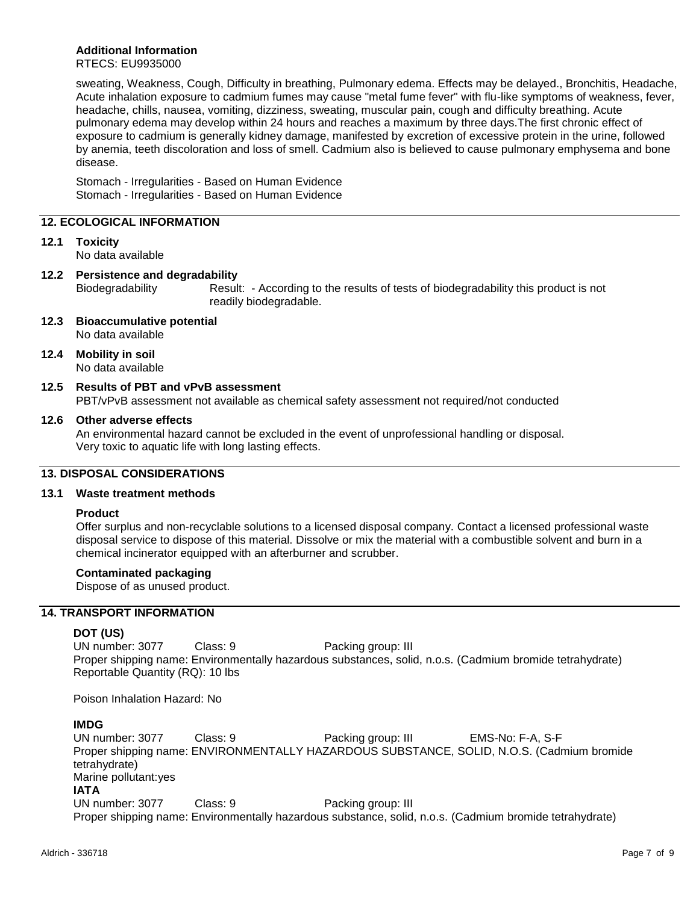# **Additional Information**

RTECS: EU9935000

sweating, Weakness, Cough, Difficulty in breathing, Pulmonary edema. Effects may be delayed., Bronchitis, Headache, Acute inhalation exposure to cadmium fumes may cause "metal fume fever" with flu-like symptoms of weakness, fever, headache, chills, nausea, vomiting, dizziness, sweating, muscular pain, cough and difficulty breathing. Acute pulmonary edema may develop within 24 hours and reaches a maximum by three days.The first chronic effect of exposure to cadmium is generally kidney damage, manifested by excretion of excessive protein in the urine, followed by anemia, teeth discoloration and loss of smell. Cadmium also is believed to cause pulmonary emphysema and bone disease.

Stomach - Irregularities - Based on Human Evidence Stomach - Irregularities - Based on Human Evidence

# **12. ECOLOGICAL INFORMATION**

#### **12.1 Toxicity**

No data available

# **12.2 Persistence and degradability**

Biodegradability Result: - According to the results of tests of biodegradability this product is not readily biodegradable.

- **12.3 Bioaccumulative potential** No data available
- **12.4 Mobility in soil**

No data available

**12.5 Results of PBT and vPvB assessment** PBT/vPvB assessment not available as chemical safety assessment not required/not conducted

#### **12.6 Other adverse effects**

An environmental hazard cannot be excluded in the event of unprofessional handling or disposal. Very toxic to aquatic life with long lasting effects.

# **13. DISPOSAL CONSIDERATIONS**

#### **13.1 Waste treatment methods**

#### **Product**

Offer surplus and non-recyclable solutions to a licensed disposal company. Contact a licensed professional waste disposal service to dispose of this material. Dissolve or mix the material with a combustible solvent and burn in a chemical incinerator equipped with an afterburner and scrubber.

#### **Contaminated packaging**

Dispose of as unused product.

# **14. TRANSPORT INFORMATION**

#### **DOT (US)**

UN number: 3077 Class: 9 Packing group: III Proper shipping name: Environmentally hazardous substances, solid, n.o.s. (Cadmium bromide tetrahydrate) Reportable Quantity (RQ): 10 lbs

Poison Inhalation Hazard: No

#### **IMDG**

UN number: 3077 Class: 9 Packing group: III EMS-No: F-A, S-F Proper shipping name: ENVIRONMENTALLY HAZARDOUS SUBSTANCE, SOLID, N.O.S. (Cadmium bromide tetrahydrate) Marine pollutant:yes **IATA** UN number: 3077 Class: 9 Packing group: III Proper shipping name: Environmentally hazardous substance, solid, n.o.s. (Cadmium bromide tetrahydrate)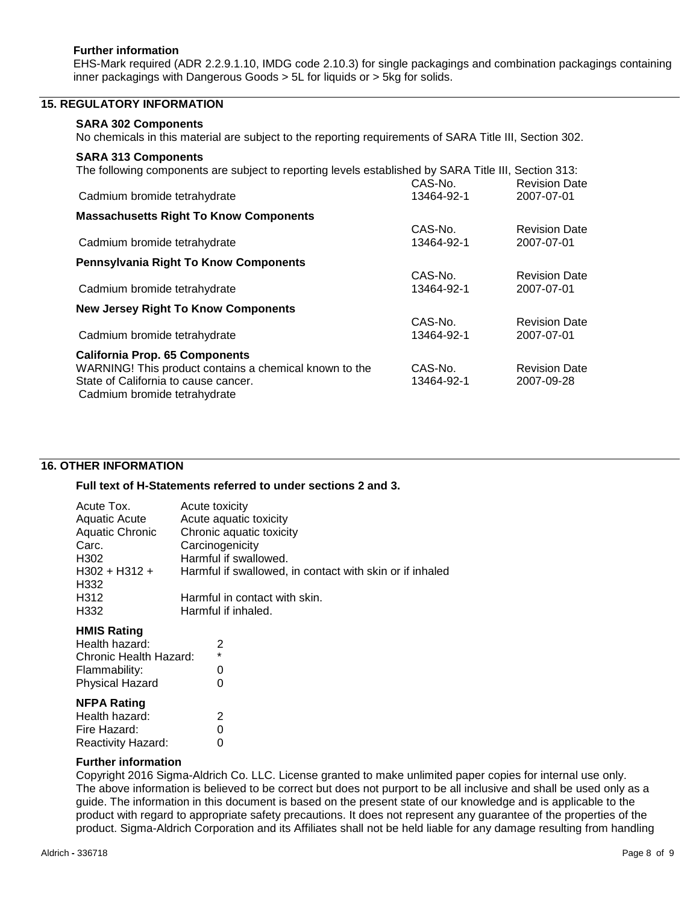# **Further information**

EHS-Mark required (ADR 2.2.9.1.10, IMDG code 2.10.3) for single packagings and combination packagings containing inner packagings with Dangerous Goods > 5L for liquids or > 5kg for solids.

#### **15. REGULATORY INFORMATION**

#### **SARA 302 Components**

No chemicals in this material are subject to the reporting requirements of SARA Title III, Section 302.

#### **SARA 313 Components**

| The following components are subject to reporting levels established by SARA Title III, Section 313: |            |                      |
|------------------------------------------------------------------------------------------------------|------------|----------------------|
|                                                                                                      | CAS-No.    | <b>Revision Date</b> |
| Cadmium bromide tetrahydrate                                                                         | 13464-92-1 | 2007-07-01           |
| <b>Massachusetts Right To Know Components</b>                                                        |            |                      |
|                                                                                                      | CAS-No.    | <b>Revision Date</b> |
| Cadmium bromide tetrahydrate                                                                         | 13464-92-1 | 2007-07-01           |
| <b>Pennsylvania Right To Know Components</b>                                                         |            |                      |
|                                                                                                      | CAS-No.    | <b>Revision Date</b> |
| Cadmium bromide tetrahydrate                                                                         | 13464-92-1 | 2007-07-01           |
| <b>New Jersey Right To Know Components</b>                                                           |            |                      |
|                                                                                                      | CAS-No.    | <b>Revision Date</b> |
| Cadmium bromide tetrahydrate                                                                         | 13464-92-1 | 2007-07-01           |
| <b>California Prop. 65 Components</b>                                                                |            |                      |
| WARNING! This product contains a chemical known to the                                               | CAS-No.    | <b>Revision Date</b> |
| State of California to cause cancer.                                                                 | 13464-92-1 | 2007-09-28           |
| Cadmium bromide tetrahydrate                                                                         |            |                      |

#### **16. OTHER INFORMATION**

#### **Full text of H-Statements referred to under sections 2 and 3.**

| Acute Tox.           | Acute toxicity                                           |
|----------------------|----------------------------------------------------------|
| <b>Aquatic Acute</b> | Acute aquatic toxicity                                   |
| Aquatic Chronic      | Chronic aquatic toxicity                                 |
| Carc.                | Carcinogenicity                                          |
| H302                 | Harmful if swallowed.                                    |
| $H302 + H312 +$      | Harmful if swallowed, in contact with skin or if inhaled |
| H332                 |                                                          |
| H312                 | Harmful in contact with skin.                            |
| H332                 | Harmful if inhaled.                                      |

#### **HMIS Rating**

| Health hazard:         | 2 |
|------------------------|---|
| Chronic Health Hazard: | * |
| Flammability:          | O |
| <b>Physical Hazard</b> | O |
|                        |   |

#### **NFPA Rating**

| Health hazard:     | 2 |
|--------------------|---|
| Fire Hazard:       | O |
| Reactivity Hazard: | O |

#### **Further information**

Copyright 2016 Sigma-Aldrich Co. LLC. License granted to make unlimited paper copies for internal use only. The above information is believed to be correct but does not purport to be all inclusive and shall be used only as a guide. The information in this document is based on the present state of our knowledge and is applicable to the product with regard to appropriate safety precautions. It does not represent any guarantee of the properties of the product. Sigma-Aldrich Corporation and its Affiliates shall not be held liable for any damage resulting from handling